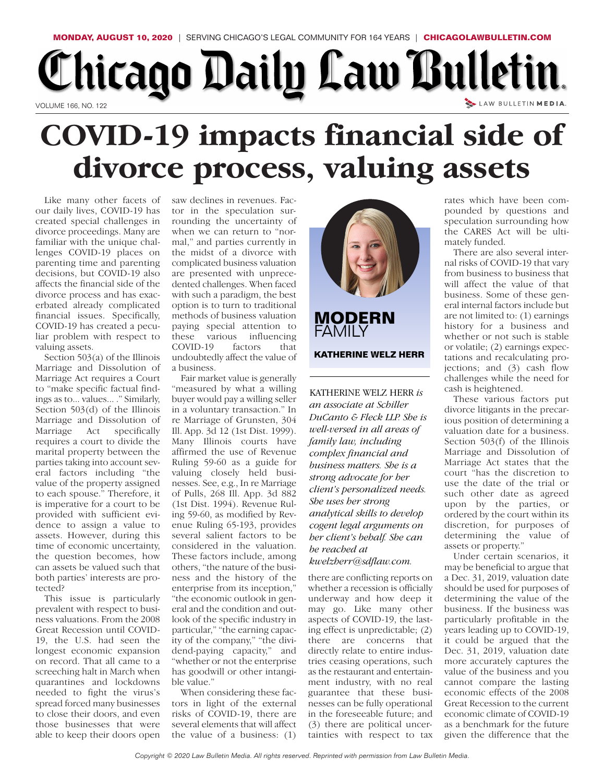## Chicago Daily Law Bulletin. LAW BULLETIN MEDIA. VOLUME 166, NO. 122

## **COVID-19 impacts financial side of divorce process, valuing assets**

Like many other facets of our daily lives, COVID-19 has created special challenges in divorce proceedings. Many are familiar with the unique challenges COVID-19 places on parenting time and parenting decisions, but COVID-19 also affects the financial side of the divorce process and has exacerbated already complicated financial issues. Specifically, COVID-19 has created a peculiar problem with respect to valuing assets.

Section 503(a) of the Illinois Marriage and Dissolution of Marriage Act requires a Court to "make specific factual findings as to... values... ." Similarly, Section 503(d) of the Illinois Marriage and Dissolution of Marriage Act specifically requires a court to divide the marital property between the parties taking into account several factors including "the value of the property assigned to each spouse." Therefore, it is imperative for a court to be provided with sufficient evidence to assign a value to assets. However, during this time of economic uncertainty, the question becomes, how can assets be valued such that both parties' interests are protected?

This issue is particularly prevalent with respect to business valuations. From the 2008 Great Recession until COVID-19, the U.S. had seen the longest economic expansion on record. That all came to a screeching halt in March when quarantines and lockdowns needed to fight the virus's spread forced many businesses to close their doors, and even those businesses that were able to keep their doors open

saw declines in revenues. Factor in the speculation surrounding the uncertainty of when we can return to "normal," and parties currently in the midst of a divorce with complicated business valuation are presented with unprecedented challenges. When faced with such a paradigm, the best option is to turn to traditional methods of business valuation paying special attention to these various influencing COVID-19 factors that undoubtedly affect the value of a business.

Fair market value is generally "measured by what a willing buyer would pay a willing seller in a voluntary transaction." In re Marriage of Grunsten, 304 Ill. App. 3d 12 (1st Dist. 1999). Many Illinois courts have affirmed the use of Revenue Ruling 59-60 as a guide for valuing closely held businesses. See, e.g., In re Marriage of Pulls, 268 Ill. App. 3d 882 (1st Dist. 1994). Revenue Ruling 59-60, as modified by Revenue Ruling 65-193, provides several salient factors to be considered in the valuation. These factors include, among others, "the nature of the business and the history of the enterprise from its inception," "the economic outlook in general and the condition and outlook of the specific industry in particular," "the earning capacity of the company," "the dividend-paying capacity," and "whether or not the enterprise has goodwill or other intangible value."

When considering these factors in light of the external risks of COVID-19, there are several elements that will affect the value of a business: (1)



**MODERN FAMILY KATHERINE WELZ HERR**

KATHERINE WELZ HERR *is an associate at Schiller DuCanto & Fleck LLP. She is well-versed in all areas of family law, including complex financial and business matters. She is a strong advocate for her client's personalized needs. She uses her strong analytical skills to develop cogent legal arguments on her client's behalf. She can be reached at*

## *kwelzher r@sdflaw.com.*

there are conflicting reports on whether a recession is officially underway and how deep it may go. Like many other aspects of COVID-19, the lasting effect is unpredictable; (2) there are concerns that directly relate to entire industries ceasing operations, such as the restaurant and entertainment industry, with no real guarantee that these businesses can be fully operational in the foreseeable future; and (3) there are political uncertainties with respect to tax

rates which have been compounded by questions and speculation surrounding how the CARES Act will be ultimately funded.

There are also several internal risks of COVID-19 that vary from business to business that will affect the value of that business. Some of these general internal factors include but are not limited to: (1) earnings history for a business and whether or not such is stable or volatile; (2) earnings expectations and recalculating projections; and (3) cash flow challenges while the need for cash is heightened.

These various factors put divorce litigants in the precarious position of determining a valuation date for a business. Section 503(f) of the Illinois Marriage and Dissolution of Marriage Act states that the court "has the discretion to use the date of the trial or such other date as agreed upon by the parties, or ordered by the court within its discretion, for purposes of determining the value of assets or property."

Under certain scenarios, it may be beneficial to argue that a Dec. 31, 2019, valuation date should be used for purposes of determining the value of the business. If the business was particularly profitable in the years leading up to COVID-19, it could be argued that the Dec. 31, 2019, valuation date more accurately captures the value of the business and you cannot compare the lasting economic effects of the 2008 Great Recession to the current economic climate of COVID-19 as a benchmark for the future given the difference that the